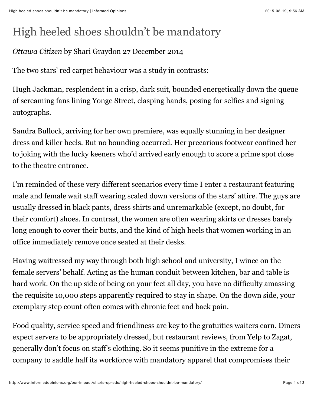## High heeled shoes shouldn't be mandatory

## *Ottawa Citizen* by Shari Graydon 27 December 2014

The two stars' red carpet behaviour was a study in contrasts:

Hugh Jackman, resplendent in a crisp, dark suit, bounded energetically down the queue of screaming fans lining Yonge Street, clasping hands, posing for selfies and signing autographs.

Sandra Bullock, arriving for her own premiere, was equally stunning in her designer dress and killer heels. But no bounding occurred. Her precarious footwear confined her to joking with the lucky keeners who'd arrived early enough to score a prime spot close to the theatre entrance.

I'm reminded of these very different scenarios every time I enter a restaurant featuring male and female wait staff wearing scaled down versions of the stars' attire. The guys are usually dressed in black pants, dress shirts and unremarkable (except, no doubt, for their comfort) shoes. In contrast, the women are often wearing skirts or dresses barely long enough to cover their butts, and the kind of high heels that women working in an office immediately remove once seated at their desks.

Having waitressed my way through both high school and university, I wince on the female servers' behalf. Acting as the human conduit between kitchen, bar and table is hard work. On the up side of being on your feet all day, you have no difficulty amassing the requisite 10,000 steps apparently required to stay in shape. On the down side, your exemplary step count often comes with chronic feet and back pain.

Food quality, service speed and friendliness are key to the gratuities waiters earn. Diners expect servers to be appropriately dressed, but restaurant reviews, from Yelp to Zagat, generally don't focus on staff's clothing. So it seems punitive in the extreme for a company to saddle half its workforce with mandatory apparel that compromises their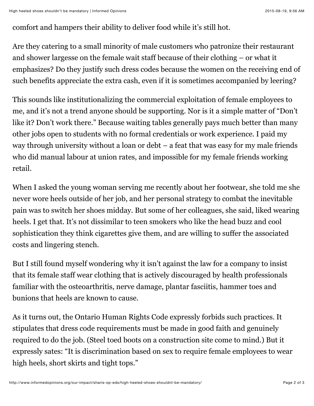## comfort and hampers their ability to deliver food while it's still hot.

Are they catering to a small minority of male customers who patronize their restaurant and shower largesse on the female wait staff because of their clothing – or what it emphasizes? Do they justify such dress codes because the women on the receiving end of such benefits appreciate the extra cash, even if it is sometimes accompanied by leering?

This sounds like institutionalizing the commercial exploitation of female employees to me, and it's not a trend anyone should be supporting. Nor is it a simple matter of "Don't like it? Don't work there." Because waiting tables generally pays much better than many other jobs open to students with no formal credentials or work experience. I paid my way through university without a loan or debt – a feat that was easy for my male friends who did manual labour at union rates, and impossible for my female friends working retail.

When I asked the young woman serving me recently about her footwear, she told me she never wore heels outside of her job, and her personal strategy to combat the inevitable pain was to switch her shoes midday. But some of her colleagues, she said, liked wearing heels. I get that. It's not dissimilar to teen smokers who like the head buzz and cool sophistication they think cigarettes give them, and are willing to suffer the associated costs and lingering stench.

But I still found myself wondering why it isn't against the law for a company to insist that its female staff wear clothing that is actively discouraged by health professionals familiar with the osteoarthritis, nerve damage, plantar fasciitis, hammer toes and bunions that heels are known to cause.

As it turns out, the Ontario Human Rights Code expressly forbids such practices. It stipulates that dress code requirements must be made in good faith and genuinely required to do the job. (Steel toed boots on a construction site come to mind.) But it expressly sates: "It is discrimination based on sex to require female employees to wear high heels, short skirts and tight tops."